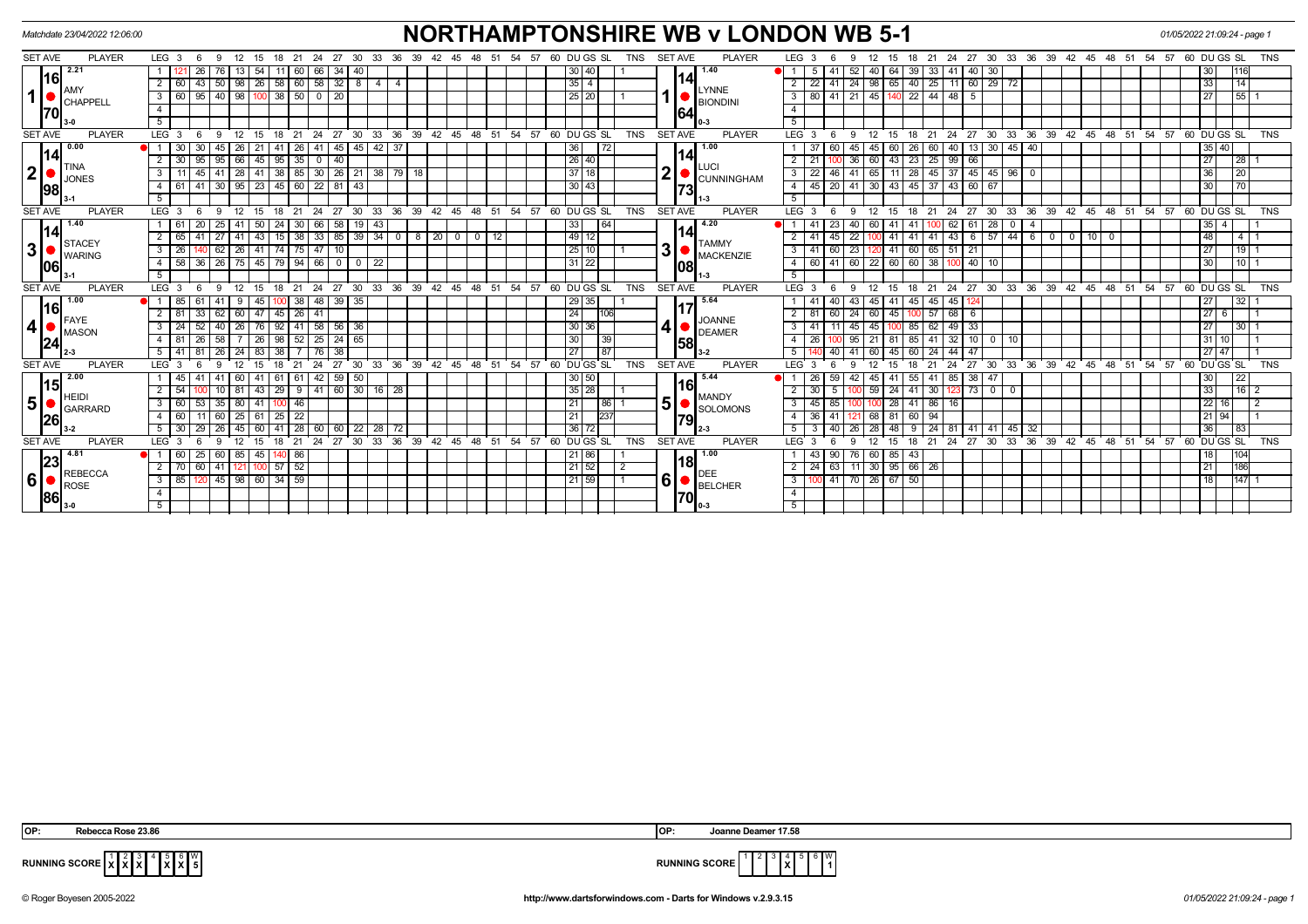| <b>NORTHAMPTONSHIRE WB v LONDON WB 5-1</b><br>Matchdate 23/04/2022 12:06:00<br>01/05/2022 21:09:24 - page 1 |                                |                                            |                                                                       |                                                                                      |                                               |                                                                                                                                                             |                                          |  |  |
|-------------------------------------------------------------------------------------------------------------|--------------------------------|--------------------------------------------|-----------------------------------------------------------------------|--------------------------------------------------------------------------------------|-----------------------------------------------|-------------------------------------------------------------------------------------------------------------------------------------------------------------|------------------------------------------|--|--|
| <b>SET AVE</b>                                                                                              | <b>PLAYER</b>                  | LEG <sub>3</sub><br>- 6<br>- 9             | - 12<br>15<br>18 21 24<br>27<br>-30<br>-33                            | 60 DU GS SL<br>36<br>39 42<br>45<br>48<br>54<br>57<br>- 51                           | <b>SET AVE</b><br><b>TNS</b><br><b>PLAYER</b> | LEG <sub>3</sub><br>27 30 33 36 39 42 45 48 51 54 57 60 DUGS SL<br>-24<br>15<br>18<br>- 21<br>9                                                             | <b>TNS</b>                               |  |  |
| 170I                                                                                                        | 2.21                           | 26<br>76                                   | 66 I<br>34<br>54<br>60<br>-40<br>-11                                  | 30 40                                                                                | 1.40                                          | 40<br>  30<br>$\blacksquare$<br>52<br>64<br>39<br>-33<br>41<br>40 I<br>$\mathbf{b}$<br>41.                                                                  | 1116<br>30                               |  |  |
|                                                                                                             | 16                             | 50<br>2 <sup>1</sup><br>-60<br>43          | 98   26   58   60   58   32   8<br>414                                | $35 \mid 4$                                                                          | 14I                                           | 22 41 24 98 65 40 25<br>11 60 29 72                                                                                                                         | 33<br>14                                 |  |  |
|                                                                                                             | AMY<br>CHAPPELL                | 40<br>3<br>60<br>95                        | $100$ 38<br>98<br>50 0 20                                             | 25 20                                                                                | LYNNE<br><b>BIONDINI</b>                      | $-45$<br>140 22 44<br>80 41 21<br>48<br>3<br>5                                                                                                              | 27<br>551                                |  |  |
|                                                                                                             |                                | $\overline{4}$                             |                                                                       |                                                                                      | 64                                            | $\overline{4}$                                                                                                                                              |                                          |  |  |
|                                                                                                             |                                | $\overline{5}$                             |                                                                       |                                                                                      |                                               | 5                                                                                                                                                           |                                          |  |  |
| <b>SET AVE</b>                                                                                              | <b>PLAYER</b>                  | $LEG$ 3                                    | 27<br>30<br>ີ 33<br>12<br>24<br>18<br>21                              | ່ 36<br>39 42 45<br>48<br>54<br>57<br>60 DUGS SL<br>- 51                             | <b>TNS</b><br><b>SET AVE</b><br><b>PLAYER</b> | $33 \quad 36$<br>$39 \quad 42$<br>LEG <sub>3</sub><br>$^{\circ}$ 24<br>27<br>30<br>48<br>21<br>45<br>- 51<br>18                                             | 54<br>57 60 DUGS SL<br><b>TNS</b>        |  |  |
|                                                                                                             | 0.00                           | $\blacksquare$<br>45                       | 45   45  <br> 42 37<br>-26<br>41<br>-26<br>41                         | 36<br>72                                                                             | 1.00                                          | 60<br>26<br>40<br>13 30 1<br>45<br>45<br>60<br>40                                                                                                           | 35 40                                    |  |  |
|                                                                                                             | 14                             | 95<br>$\sqrt{95}$<br>30 <sup>1</sup>       | $66$ 45 95 35 0 40                                                    | $\sqrt{26/40}$                                                                       | 141                                           | $\boxed{60}$ 43 23 25 99 66<br>$\overline{36}$<br>21                                                                                                        | $\overline{27}$<br>$\overline{1281}$     |  |  |
| $\mathbf{2}$                                                                                                | <b>TINA</b><br><b>JONES</b>    | 3<br>45<br>41                              | 28 41 38 85 30 26 21 38 79 18                                         | 37118                                                                                | <b>ILUCI</b><br>2<br><b>CUNNINGHAM</b>        | $11$   28   45   37   45   45   96   0<br>65<br>3<br>22<br>46<br>41                                                                                         | 36<br> 20                                |  |  |
|                                                                                                             | 98                             | 30 <br>4<br>61<br>l 41 l                   | $95$   23   45   60   22   81<br>$\sqrt{43}$                          | 30 43                                                                                | 73                                            | 30 43 45 37 43 60 67<br>$\overline{4}$<br>45 20 41                                                                                                          | 30<br>701                                |  |  |
|                                                                                                             |                                | 5                                          |                                                                       |                                                                                      |                                               | $\overline{5}$                                                                                                                                              |                                          |  |  |
| <b>SET AVE</b>                                                                                              | PLAYER                         | $LEG$ 3<br>9<br>-6                         | $^{\circ}$ 24<br>12<br>15<br>18<br>21                                 | 27 30 33 36 39 42 45 48 51 54 57 60 DUGS SL                                          | <b>TNS</b><br>SET AVE<br><b>PLAYER</b>        | LEG <sub>3</sub><br>24<br>27<br>30 33 36 39 42 45 48 51 54 57 60 DUGS SL<br>12<br>18<br>21<br>9<br>15                                                       | <b>TNS</b>                               |  |  |
|                                                                                                             | 1.40                           | 25<br>61                                   | 58<br>50 <sub>1</sub><br>24<br>66<br>$\sqrt{19}$<br>43<br>-41<br>30 I | 33<br>$\sqrt{64}$                                                                    | 4.20                                          | 28<br>40<br>62<br>61<br>-41<br>41<br>41<br>60<br>0<br>$\overline{a}$                                                                                        | $35 \mid 4$                              |  |  |
|                                                                                                             | 14                             | $\overline{2}$<br>$\overline{27}$          | 33   85   39   34  <br>43<br>15<br>38<br>41                           | $\frac{1}{49}$ 12<br>$8 \mid 20$<br>$0$ 12<br>$\overline{\mathbf{0}}$<br>$\mathbf 0$ | 141                                           | 43<br>57   44<br>45<br>$\overline{22}$<br>41<br>41<br>$-41$<br>6<br>6<br>10<br>$\overline{\phantom{0}}$<br>41<br>$\overline{\phantom{0}}$<br>$\overline{0}$ | 48<br>$4\overline{1}$                    |  |  |
| 3                                                                                                           | <b>STACEY</b><br><b>WARING</b> | 3<br>62<br>$\overline{26}$                 | 26 41 74 75 47 10                                                     | $\sqrt{25}$ 10                                                                       | <b>TAMMY</b><br>3<br>MACKENZIE                | $\overline{23}$<br>41 60 65<br>$51$   21<br>$\overline{3}$<br>60<br>41                                                                                      | 27<br>19                                 |  |  |
|                                                                                                             | 106                            | $\overline{4}$                             | 58 36 26 75 45 79 94 66 0 0 22                                        | $31$ 22                                                                              | 1081                                          | $\frac{60}{41}$ 60 22 60 60 38 100 40 10<br>$\overline{4}$                                                                                                  | 30<br>$110$ 1                            |  |  |
|                                                                                                             |                                | 5                                          |                                                                       |                                                                                      |                                               | $\overline{5}$                                                                                                                                              |                                          |  |  |
| <b>SET AVE</b>                                                                                              | <b>PLAYER</b>                  | LEG <sub>3</sub>                           | 24<br>18<br>21                                                        | 27 30 33 36 39 42 45 48 51 54 57 60 DUGS SL                                          | <b>TNS</b><br><b>SET AVE</b><br><b>PLAYER</b> | 27 30 33 36 39 42 45 48 51 54 57 60 DUGS SL<br>LEG <sub>3</sub><br>12<br>21 24<br>15<br>18                                                                  | <b>TNS</b>                               |  |  |
|                                                                                                             | 1.00                           | 85   61<br>$\blacksquare$                  | 38 48 39 35<br>45<br>-9                                               | 29 35                                                                                | 5.64                                          | 41 45 45<br>45<br>41<br>43<br>45 I                                                                                                                          | 27<br>32                                 |  |  |
|                                                                                                             | 16<br>FAYE                     | 62<br>33                                   | $26 \mid 41$<br>45<br>60   47                                         | 24                                                                                   | 106<br>JOANNE                                 | $\overline{57}$<br>68<br>81<br>24<br>45<br>60<br>60 I<br>- 6<br>10C                                                                                         | 27 6                                     |  |  |
| 4                                                                                                           | <b>MASON</b>                   | $3^{\circ}$<br>24<br>40                    | 58 56 36<br>92<br>41<br>26<br>76                                      | 30 36                                                                                | 4<br>DEAMER                                   | 49 33<br>45<br>85<br>62<br>3<br>41<br>45                                                                                                                    | 27<br>30 I                               |  |  |
|                                                                                                             | 24                             | $\overline{4}$<br>58                       | 25<br>24<br>65<br>26<br>98<br>52                                      | 30                                                                                   | 39 <sup>1</sup><br> 58                        | 32<br>10<br>95<br>85<br>41<br>10<br>$\overline{0}$                                                                                                          | 31 10                                    |  |  |
|                                                                                                             |                                | 5<br>26                                    | 38<br>38                                                              | 27<br>87                                                                             |                                               | 44<br>47                                                                                                                                                    | $27$   47                                |  |  |
| <b>SET AVE</b>                                                                                              | <b>PLAYER</b>                  | LEG <sup>1</sup>                           | 27<br>30<br>33                                                        | 36<br>39<br>48<br>54<br>57<br>60 DU GS SL<br>$42^{\circ}$<br>45<br>51                | <b>TNS</b><br><b>SET AVE</b><br><b>PLAYER</b> | 27<br>30<br>33<br>36<br>39<br>48<br><b>LEG</b><br>24<br>$42^{\circ}$<br>45<br>51                                                                            | 54<br>57<br>60 DU GS SL<br><b>TNS</b>    |  |  |
|                                                                                                             | 2.00<br>15                     | 45<br>41                                   | $142$ 59 50<br>41<br>61<br>61 I<br>60                                 | 30 50                                                                                | 5.44<br>16I                                   | 85 38 47<br>59<br>55<br>26<br>42<br>41<br>45 I<br>-41                                                                                                       | 30<br> 22                                |  |  |
|                                                                                                             | <b>HEIDI</b>                   | $\overline{2}$<br>54                       | $9$   41   60   30  <br>29<br>$16$   28<br>43<br>81                   | 35 28                                                                                | <b>MANDY</b>                                  | 59<br>30<br>$73$ 0<br>24<br>41<br>$\mathbf{0}$                                                                                                              | 33<br> 16 2                              |  |  |
| 5                                                                                                           | <b>GARRARD</b>                 | 3 <sup>1</sup><br>35<br>60                 | 46<br>80 I<br>41                                                      | 21                                                                                   | 5<br>86<br>SOLOMONS                           | 86<br>3<br>28<br>41<br>16<br>45                                                                                                                             | 22 16                                    |  |  |
|                                                                                                             | 26                             | 4<br>11 60<br>60                           | 22<br>25 61 25                                                        | 21<br>237                                                                            | 79I                                           | 81 60 94<br>68<br>36<br>-41                                                                                                                                 | 21 94                                    |  |  |
|                                                                                                             |                                | 26<br>30<br>- 29                           | 41<br>28 I<br>-22 I<br>28 I<br>60 l<br>-60 I<br>60<br>45              | 36 72<br>-72                                                                         |                                               | 32<br>40<br>26<br>48<br>24<br>41<br>l 41 l<br> 45                                                                                                           | 36<br> 83                                |  |  |
| <b>SET AVE</b>                                                                                              | <b>PLAYER</b>                  | LEG <sup>'</sup><br>$\mathbf{3}$<br>a      | 27<br>30<br>33<br>21                                                  | 36<br>39<br>48<br>54<br>60 DUGS SL<br>42<br>45<br>51<br>57                           | <b>TNS</b><br><b>SET AVE</b><br><b>PLAYER</b> | 36<br>LEG <sup>1</sup><br>30<br>33<br>39<br>48<br>12 <sup>2</sup><br>27<br>42<br>45<br>- 51<br>$\mathcal{B}$<br>18<br>21<br>24<br>۰Q                        | DU GS SL<br>54<br><b>TNS</b><br>57<br>60 |  |  |
| 23<br>6 86                                                                                                  | 4.81                           | $\vert$ 25<br>60<br>$\blacksquare$<br>60 I | 85   45  <br>140 86                                                   | 21   86                                                                              | 1.00<br>18I                                   | 90 I<br>60 85 43<br>43<br>  76                                                                                                                              | 18<br> 104                               |  |  |
|                                                                                                             | <b>REBECCA</b>                 | 2 <sup>1</sup><br>70 60 41                 | $121$ 100 57 52                                                       | 21 52                                                                                | $\sqrt{2}$<br>DEE                             | $\overline{24}$ 63 11 30 95 66 26<br>2                                                                                                                      | 21<br>1186                               |  |  |
|                                                                                                             | <b>ROSE</b>                    | 3 <sup>1</sup>                             | 85   120   45   98   60   34   59                                     | 21 59                                                                                | 61<br>$\overline{1}$<br><b>BELCHER</b>        | 100 41 70 26 67 50<br>3                                                                                                                                     | 18<br>1147                               |  |  |
|                                                                                                             |                                | $\overline{4}$                             |                                                                       |                                                                                      | 70                                            | $\overline{4}$                                                                                                                                              |                                          |  |  |
|                                                                                                             |                                | 5                                          |                                                                       |                                                                                      |                                               | -5                                                                                                                                                          |                                          |  |  |

 **X** 5 **X** 6 **X** W



**RUNNING SCORE**  $\begin{bmatrix} 1 \\ \mathbf{X} \end{bmatrix} \begin{bmatrix} 2 \\ \mathbf{X} \end{bmatrix}$ 

© Roger Boyesen 2005-2022 **http://www.dartsforwindows.com - Darts for Windows v.2.9.3.15** *01/05/2022 21:09:24 - page 1*